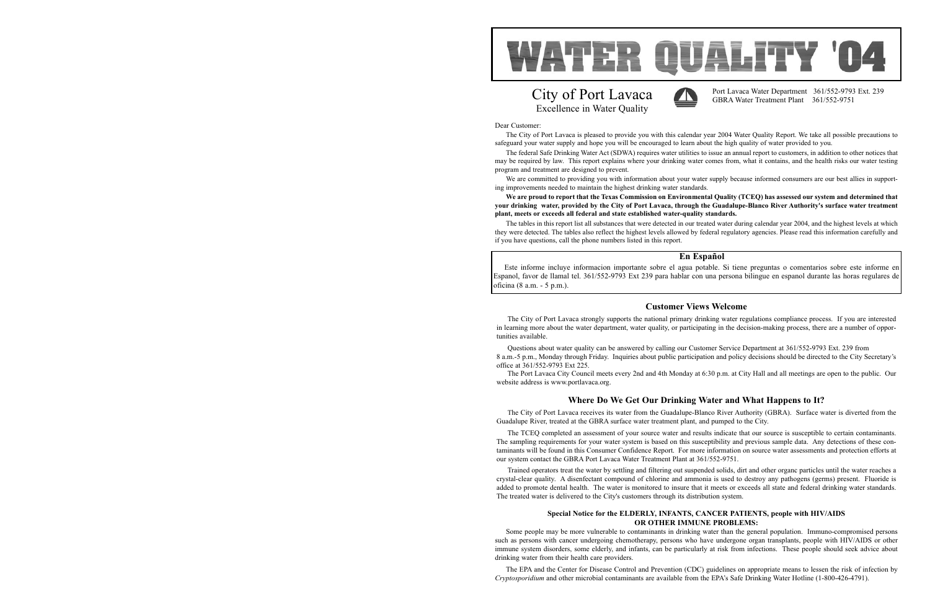Port Lavaca Water Department 361/552-9793 Ext. 239 GBRA Water Treatment Plant 361/552-9751

## **Where Do We Get Our Drinking Water and What Happens to It?**

The City of Port Lavaca receives its water from the Guadalupe-Blanco River Authority (GBRA). Surface water is diverted from the Guadalupe River, treated at the GBRA surface water treatment plant, and pumped to the City.

The TCEQ completed an assessment of your source water and results indicate that our source is susceptible to certain contaminants. The sampling requirements for your water system is based on this susceptibility and previous sample data. Any detections of these contaminants will be found in this Consumer Confidence Report. For more information on source water assessments and protection efforts at our system contact the GBRA Port Lavaca Water Treatment Plant at 361/552-9751.

Trained operators treat the water by settling and filtering out suspended solids, dirt and other organc particles until the water reaches a crystal-clear quality. A disenfectant compound of chlorine and ammonia is used to destroy any pathogens (germs) present. Fluoride is added to promote dental health. The water is monitored to insure that it meets or exceeds all state and federal drinking water standards. The treated water is delivered to the City's customers through its distribution system.



The City of Port Lavaca is pleased to provide you with this calendar year 2004 Water Quality Report. We take all possible precautions to safeguard your water supply and hope you will be encouraged to learn about the high quality of water provided to you.

The federal Safe Drinking Water Act (SDWA) requires water utilities to issue an annual report to customers, in addition to other notices that may be required by law. This report explains where your drinking water comes from, what it contains, and the health risks our water testing program and treatment are designed to prevent.

We are committed to providing you with information about your water supply because informed consumers are our best allies in supporting improvements needed to maintain the highest drinking water standards.

**We are proud to report that the Texas Commission on Environmental Quality (TCEQ) has assessed our system and determined that your drinking water, provided by the City of Port Lavaca, through the Guadalupe-Blanco River Authority's surface water treatment plant, meets or exceeds all federal and state established water-quality standards.** 

The tables in this report list all substances that were detected in our treated water during calendar year 2004, and the highest levels at which they were detected. The tables also reflect the highest levels allowed by federal regulatory agencies. Please read this information carefully and if you have questions, call the phone numbers listed in this report.

## **Customer Views Welcome**

The City of Port Lavaca strongly supports the national primary drinking water regulations compliance process. If you are interested in learning more about the water department, water quality, or participating in the decision-making process, there are a number of opportunities available.

Questions about water quality can be answered by calling our Customer Service Department at 361/552-9793 Ext. 239 from 8 a.m.-5 p.m., Monday through Friday. Inquiries about public participation and policy decisions should be directed to the City Secretary's office at 361/552-9793 Ext 225.

The Port Lavaca City Council meets every 2nd and 4th Monday at 6:30 p.m. at City Hall and all meetings are open to the public. Our website address is www.portlavaca.org.

## **En Español**

Este informe incluye informacion importante sobre el agua potable. Si tiene preguntas o comentarios sobre este informe en Espanol, favor de llamal tel. 361/552-9793 Ext 239 para hablar con una persona bilingue en espanol durante las horas regulares de oficina (8 a.m. - 5 p.m.).

## **Special Notice for the ELDERLY, INFANTS, CANCER PATIENTS, people with HIV/AIDS OR OTHER IMMUNE PROBLEMS:**

Some people may be more vulnerable to contaminants in drinking water than the general population. Immuno-compromised persons such as persons with cancer undergoing chemotherapy, persons who have undergone organ transplants, people with HIV/AIDS or other immune system disorders, some elderly, and infants, can be particularly at risk from infections. These people should seek advice about drinking water from their health care providers.

The EPA and the Center for Disease Control and Prevention (CDC) guidelines on appropriate means to lessen the risk of infection by *Cryptosporidium* and other microbial contaminants are available from the EPA's Safe Drinking Water Hotline (1-800-426-4791).





# City of Port Lavaca Excellence in Water Quality